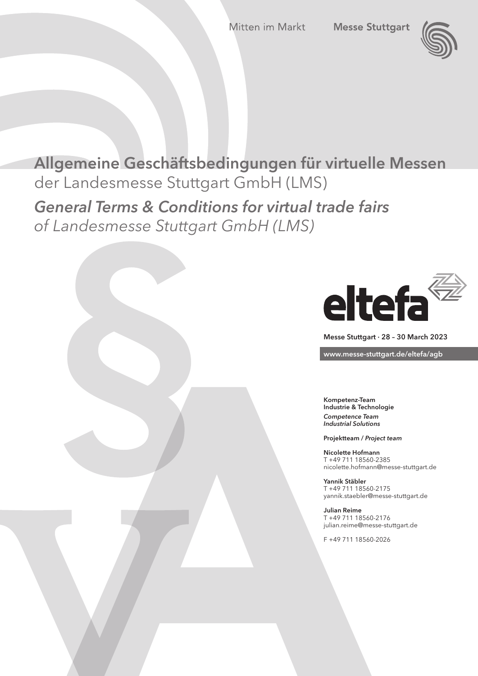

# Allgemeine Geschäftsbedingungen für virtuelle Messen der Landesmesse Stuttgart GmbH (LMS)

*General Terms & Conditions for virtual trade fairs of Landesmesse Stuttgart GmbH (LMS)*



Messe Stuttgart · 28 – 30 March 2023

www.messe-stuttgart.de/eltefa/agb

Kompetenz-Team Industrie & Technologie *Competence Team Industrial Solutions*

Projektteam / *Project team*

Nicolette Hofmann T +49 711 18560-2385 nicolette.hofmann@messe-stuttgart.de

Yannik Stäbler T +49 711 18560-2175 yannik.staebler@messe-stuttgart.de

Julian Reime T +49 711 18560-2176 julian.reime@messe-stuttgart.de

F +49 711 18560-2026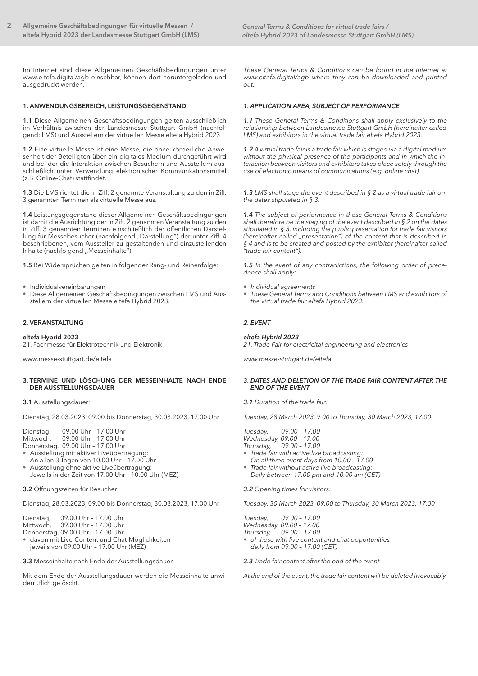Im Internet sind diese Allgemeinen Geschäftsbedingungen unter www.eltefa.digital/agb einsehbar, können dort heruntergeladen und ausgedruckt werden.

# 1. ANWENDUNGSBEREICH, LEISTUNGSGEGENSTAND

1.1 Diese Allgemeinen Geschäftsbedingungen gelten ausschließlich im Verhältnis zwischen der Landesmesse Stuttgart GmbH (nachfolgend: LMS) und Ausstellern der virtuellen Messe eltefa Hybrid 2023.

1.2 Eine virtuelle Messe ist eine Messe, die ohne körperliche Anwesenheit der Beteiligten über ein digitales Medium durchgeführt wird und bei der die Interaktion zwischen Besuchern und Ausstellern ausschließlich unter Verwendung elektronischer Kommunikationsmittel (z.B. Online-Chat) stattfindet.

1.3 Die LMS richtet die in Ziff. 2 genannte Veranstaltung zu den in Ziff. 3 genannten Terminen als virtuelle Messe aus.

1.4 Leistungsgegenstand dieser Allgemeinen Geschäftsbedingungen ist damit die Ausrichtung der in Ziff. 2 genannten Veranstaltung zu den in Ziff. 3 genannten Terminen einschließlich der öffentlichen Darstellung für Messebesucher (nachfolgend "Darstellung") der unter Ziff. 4 beschriebenen, vom Aussteller zu gestaltenden und einzustellenden Inhalte (nachfolgend ,,Messeinhalte").

1.5 Bei Widersprüchen gelten in folgender Rang- und Reihenfolge:

- Individualvereinbarungen
- Diese Allgemeinen Geschäftsbedingungen zwischen LMS und Ausstellern der virtuellen Messe eltefa Hybrid 2023.

# 2. VERANSTALTUNG

eltefa Hybrid 2023 21. Fachmesse für Elektrotechnik und Elektronik

www.messe-stuttgart.de/eltefa

#### 3. TERMINE UND LÖSCHUNG DER MESSEINHALTE NACH ENDE DER AUSSTELLUNGSDAUER

#### 3.1 Ausstellungsdauer:

Dienstag, 28.03.2023, 09.00 bis Donnerstag, 30.03.2023, 17.00 Uhr

Dienstag, 09.00 Uhr – 17.00 Uhr

Mittwoch, 09.00 Uhr – 17.00 Uhr

- Donnerstag, 09.00 Uhr 17.00 Uhr • Ausstellung mit aktiver Liveübertragung:
- An allen 3 Tagen von 10.00 Uhr 17.00 Uhr
- Ausstellung ohne aktive Liveübertragung:
- Jeweils in der Zeit von 17.00 Uhr 10.00 Uhr (MEZ)

3.2 Öffnungszeiten für Besucher:

Dienstag, 28.03.2023, 09.00 bis Donnerstag, 30.03.2023, 17.00 Uhr

Dienstag, 09.00 Uhr – 17.00 Uhr

09.00 Uhr – 17.00 Uhr

Donnerstag, 09.00 Uhr – 17.00 Uhr

• davon mit Live-Content und Chat-Möglichkeiten jeweils von 09.00 Uhr – 17.00 Uhr (MEZ)

3.3 Messeinhalte nach Ende der Ausstellungsdauer

Mit dem Ende der Ausstellungsdauer werden die Messeinhalte unwiderruflich gelöscht.

*These General Terms & Conditions can be found in the Internet at www.eltefa.digital/agb where they can be downloaded and printed out.*

# *1. APPLICATION AREA, SUBJECT OF PERFORMANCE*

*1.1 These General Terms & Conditions shall apply exclusively to the relationship between Landesmesse Stuttgart GmbH (hereinafter called LMS) and exhibitors in the virtual trade fair eltefa Hybrid 2023.*

*1.2 A virtual trade fair is a trade fair which is staged via a digital medium without the physical presence of the participants and in which the interaction between visitors and exhibitors takes place solely through the use of electronic means of communications (e.g. online chat).*

*1.3 LMS shall stage the event described in § 2 as a virtual trade fair on the dates stipulated in § 3.*

*1.4 The subject of performance in these General Terms & Conditions shall therefore be the staging of the event described in § 2 on the dates stipulated in § 3, including the public presentation for trade fair visitors (hereinafter called "presentation") of the content that is described in § 4 and is to be created and posted by the exhibitor (hereinafter called "trade fair content").*

*1.5 In the event of any contradictions, the following order of precedence shall apply:*

- *• Individual agreements*
- *These General Terms and Conditions between LMS and exhibitors of the virtual trade fair eltefa Hybrid 2023.*

# *2. EVENT*

# *eltefa Hybrid 2023*

*21. Trade Fair for electricital engineerung and electronics*

*www.messe-stuttgart.de/eltefa*

# *3. DATES AND DELETION OF THE TRADE FAIR CONTENT AFTER THE END OF THE EVENT*

*3.1 Duration of the trade fair:*

*Tuesday, 28 March 2023, 9.00 to Thursday, 30 March 2023, 17.00*

*Tuesday, 09.00 – 17.00*

*Wednesday, 09.00 – 17.00 Thursday, 09.00 – 17.00*

- *• Trade fair with active live broadcasting:* 
	- *On all three event days from 10.00 17.00*
- *• Trade fair without active live broadcasting: Daily between 17.00 pm and 10.00 am (CET)*

*3.2 Opening times for visitors:* 

*Tuesday, 30 March 2023, 09.00 to Thursday, 30 March 2023, 17.00*

*Tuesday, 09.00 – 17.00*

*Wednesday, 09.00 – 17.00 Thursday, 09.00 – 17.00*

*• of these with live content and chat opportunities daily from 09.00 – 17.00 (CET)*

*3.3 Trade fair content after the end of the event*

*At the end of the event, the trade fair content will be deleted irrevocably.*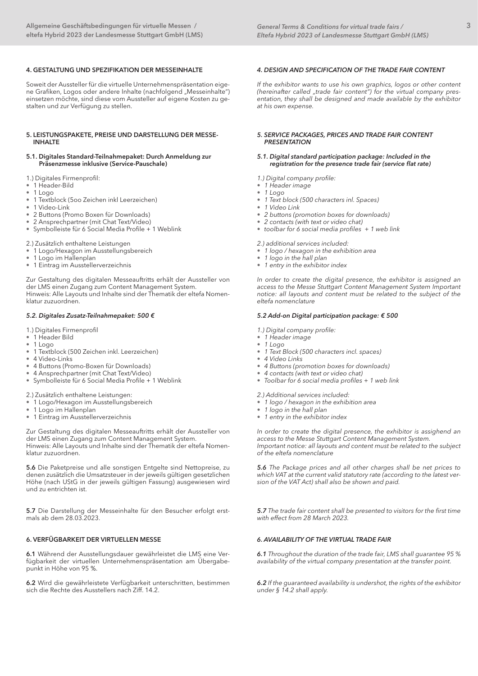# 4. GESTALTUNG UND SPEZIFIKATION DER MESSEINHALTE

Soweit der Aussteller für die virtuelle Unternehmenspräsentation eigene Grafiken, Logos oder andere Inhalte (nachfolgend "Messeinhalte") einsetzen möchte, sind diese vom Aussteller auf eigene Kosten zu gestalten und zur Verfügung zu stellen.

#### 5. LEISTUNGSPAKETE, PREISE UND DARSTELLUNG DER MESSE-INHALTE

#### 5.1. Digitales Standard-Teilnahmepaket: Durch Anmeldung zur Präsenzmesse inklusive (Service-Pauschale)

1.) Digitales Firmenprofil:

- *•* 1 Header-Bild
- *•* 1 Logo
- *•* 1 Textblock (5oo Zeichen inkl Leerzeichen)
- *•* 1 Video-Link
- *•* 2 Buttons (Promo Boxen für Downloads)
- *•* 2 Ansprechpartner (mit Chat Text/Video)
- *•* Symbolleiste für 6 Social Media Profile + 1 Weblink

2.) Zusätzlich enthaltene Leistungen

- *•* 1 Logo/Hexagon im Ausstellungsbereich
- *•* 1 Logo im Hallenplan
- *•* 1 Eintrag im Ausstellerverzeichnis

Zur Gestaltung des digitalen Messeauftritts erhält der Aussteller von der LMS einen Zugang zum Content Management System. Hinweis: Alle Layouts und Inhalte sind der Thematik der eltefa Nomenklatur zuzuordnen.

#### *5.2. Digitales Zusatz-Teilnahmepaket: 500 €*

1.) Digitales Firmenprofil

- *•* 1 Header Bild
- *•* 1 Logo
- *•* 1 Textblock (500 Zeichen inkl. Leerzeichen)
- *•* 4 Video-Links
- *•* 4 Buttons (Promo-Boxen für Downloads)
- *•* 4 Ansprechpartner (mit Chat Text/Video)
- *•* Symbolleiste für 6 Social Media Profile + 1 Weblink

2.) Zusätzlich enthaltene Leistungen:

- *•* 1 Logo/Hexagon im Ausstellungsbereich
- *•* 1 Logo im Hallenplan
- *•* 1 Eintrag im Ausstellerverzeichnis

Zur Gestaltung des digitalen Messeauftritts erhält der Aussteller von der LMS einen Zugang zum Content Management System. Hinweis: Alle Layouts und Inhalte sind der Thematik der eltefa Nomenklatur zuzuordnen.

5.6 Die Paketpreise und alle sonstigen Entgelte sind Nettopreise, zu denen zusätzlich die Umsatzsteuer in der jeweils gültigen gesetzlichen Höhe (nach UStG in der jeweils gültigen Fassung) ausgewiesen wird und zu entrichten ist.

5.7 Die Darstellung der Messeinhalte für den Besucher erfolgt erstmals ab dem 28.03.2023.

# 6. VERFÜGBARKEIT DER VIRTUELLEN MESSE

6.1 Während der Ausstellungsdauer gewährleistet die LMS eine Verfügbarkeit der virtuellen Unternehmenspräsentation am Übergabepunkt in Höhe von 95 %.

6.2 Wird die gewährleistete Verfügbarkeit unterschritten, bestimmen sich die Rechte des Ausstellers nach Ziff. 14.2.

#### *4. DESIGN AND SPECIFICATION OF THE TRADE FAIR CONTENT*

*If the exhibitor wants to use his own graphics, logos or other content*  (hereinafter called "trade fair content") for the virtual company pres*entation, they shall be designed and made available by the exhibitor at his own expense.*

#### *5. SERVICE PACKAGES, PRICES AND TRADE FAIR CONTENT PRESENTATION*

#### *5.1. Digital standard participation package: Included in the registration for the presence trade fair (service flat rate)*

- *1.) Digital company profile:*
- *• 1 Header image*
- *• 1 Logo*
- *• 1 Text block (500 characters inl. Spaces)*
- *• 1 Video Link*
- *• 2 buttons (promotion boxes for downloads)*
- *• 2 contacts (with text or video chat)*
- *• toolbar for 6 social media profiles + 1 web link*

*2.) additional services included:*

- *• 1 logo / hexagon in the exhibition area*
- *• 1 logo in the hall plan*
- *• 1 entry in the exhibitor index*

*In order to create the digital presence, the exhibitor is assigned an access to the Messe Stuttgart Content Management System Important notice: all layouts and content must be related to the subject of the eltefa nomenclature*

#### *5.2 Add-on Digital participation package: € 500*

- *1.) Digital company profile:*
- *• 1 Header image*
- *• 1 Logo*
- *• 1 Text Block (500 characters incl. spaces)*
- *• 4 Video Links*
- *• 4 Buttons (promotion boxes for downloads)*
- *• 4 contacts (with text or video chat)*
- *• Toolbar for 6 social media profiles + 1 web link*

*2.) Additional services included:*

- *• 1 logo / hexagon in the exhibition area*
- *• 1 logo in the hall plan*
- *• 1 entry in the exhibitor index*

*In order to create the digital presence, the exhibitor is assighend an access to the Messe Stuttgart Content Management System. Important notice: all layouts and content must be related to the subject of the eltefa nomenclature*

*5.6 The Package prices and all other charges shall be net prices to which VAT at the current valid statutory rate (according to the latest version of the VAT Act) shall also be shown and paid.*

*5.7 The trade fair content shall be presented to visitors for the first time with effect from 28 March 2023.*

# *6. AVAILABILITY OF THE VIRTUAL TRADE FAIR*

*6.1 Throughout the duration of the trade fair, LMS shall guarantee 95 % availability of the virtual company presentation at the transfer point.* 

*6.2 If the guaranteed availability is undershot, the rights of the exhibitor under § 14.2 shall apply.*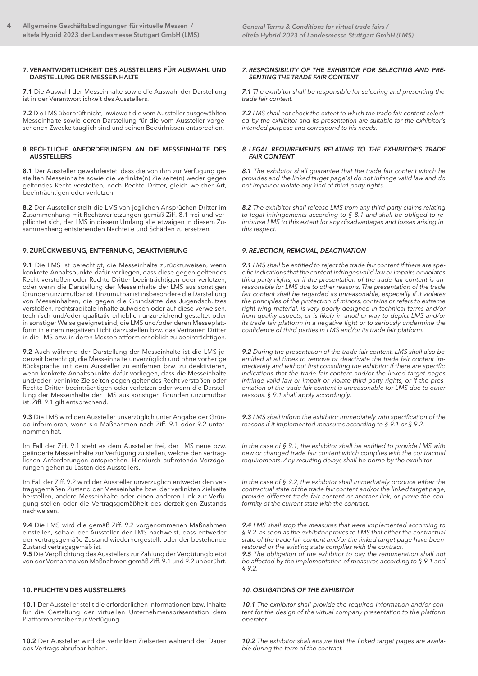#### 7. VERANTWORTLICHKEIT DES AUSSTELLERS FÜR AUSWAHL UND DARSTELLUNG DER MESSEINHALTE

7.1 Die Auswahl der Messeinhalte sowie die Auswahl der Darstellung ist in der Verantwortlichkeit des Ausstellers.

7.2 Die LMS überprüft nicht, inwieweit die vom Aussteller ausgewählten Messeinhalte sowie deren Darstellung für die vom Aussteller vorgesehenen Zwecke tauglich sind und seinen Bedürfnissen entsprechen.

## 8. RECHTLICHE ANFORDERUNGEN AN DIE MESSEINHALTE DES AUSSTELLERS

8.1 Der Aussteller gewährleistet, dass die von ihm zur Verfügung gestellten Messeinhalte sowie die verlinkte(n) Zielseite(n) weder gegen geltendes Recht verstoßen, noch Rechte Dritter, gleich welcher Art, beeinträchtigen oder verletzen.

8.2 Der Aussteller stellt die LMS von jeglichen Ansprüchen Dritter im Zusammenhang mit Rechtsverletzungen gemäß Ziff. 8.1 frei und verpflichtet sich, der LMS in diesem Umfang alle etwaigen in diesem Zusammenhang entstehenden Nachteile und Schäden zu ersetzen.

# 9. ZURÜCKWEISUNG, ENTFERNUNG, DEAKTIVIERUNG

9.1 Die LMS ist berechtigt, die Messeinhalte zurückzuweisen, wenn konkrete Anhaltspunkte dafür vorliegen, dass diese gegen geltendes Recht verstoßen oder Rechte Dritter beeinträchtigen oder verletzen, oder wenn die Darstellung der Messeinhalte der LMS aus sonstigen Gründen unzumutbar ist. Unzumutbar ist insbesondere die Darstellung von Messeinhalten, die gegen die Grundsätze des Jugendschutzes verstoßen, rechtsradikale Inhalte aufweisen oder auf diese verweisen, technisch und/oder qualitativ erheblich unzureichend gestaltet oder in sonstiger Weise geeignet sind, die LMS und/oder deren Messeplattform in einem negativen Licht darzustellen bzw. das Vertrauen Dritter in die LMS bzw. in deren Messeplattform erheblich zu beeinträchtigen.

9.2 Auch während der Darstellung der Messeinhalte ist die LMS jederzeit berechtigt, die Messeinhalte unverzüglich und ohne vorherige Rücksprache mit dem Aussteller zu entfernen bzw. zu deaktivieren, wenn konkrete Anhaltspunkte dafür vorliegen, dass die Messeinhalte und/oder verlinkte Zielseiten gegen geltendes Recht verstoßen oder Rechte Dritter beeinträchtigen oder verletzen oder wenn die Darstellung der Messeinhalte der LMS aus sonstigen Gründen unzumutbar ist. Ziff. 9.1 gilt entsprechend.

9.3 Die LMS wird den Aussteller unverzüglich unter Angabe der Gründe informieren, wenn sie Maßnahmen nach Ziff. 9.1 oder 9.2 unternommen hat.

Im Fall der Ziff. 9.1 steht es dem Aussteller frei, der LMS neue bzw. geänderte Messeinhalte zur Verfügung zu stellen, welche den vertraglichen Anforderungen entsprechen. Hierdurch auftretende Verzögerungen gehen zu Lasten des Ausstellers.

Im Fall der Ziff. 9.2 wird der Aussteller unverzüglich entweder den vertragsgemäßen Zustand der Messeinhalte bzw. der verlinkten Zielseite herstellen, andere Messeinhalte oder einen anderen Link zur Verfügung stellen oder die Vertragsgemäßheit des derzeitigen Zustands nachweisen.

9.4 Die LMS wird die gemäß Ziff. 9.2 vorgenommenen Maßnahmen einstellen, sobald der Aussteller der LMS nachweist, dass entweder der vertragsgemäße Zustand wiederhergestellt oder der bestehende Zustand vertragsgemäß ist.

9.5 Die Verpflichtung des Ausstellers zur Zahlung der Vergütung bleibt von der Vornahme von Maßnahmen gemäß Ziff. 9.1 und 9.2 unberührt.

# 10. PFLICHTEN DES AUSSTELLERS

10.1 Der Aussteller stellt die erforderlichen Informationen bzw. Inhalte für die Gestaltung der virtuellen Unternehmenspräsentation dem Plattformbetreiber zur Verfügung.

10.2 Der Aussteller wird die verlinkten Zielseiten während der Dauer des Vertrags abrufbar halten.

#### *7. RESPONSIBILITY OF THE EXHIBITOR FOR SELECTING AND PRE-SENTING THE TRADE FAIR CONTENT*

*7.1 The exhibitor shall be responsible for selecting and presenting the trade fair content.*

*7.2 LMS shall not check the extent to which the trade fair content selected by the exhibitor and its presentation are suitable for the exhibitor's intended purpose and correspond to his needs.*

#### *8. LEGAL REQUIREMENTS RELATING TO THE EXHIBITOR'S TRADE FAIR CONTENT*

*8.1 The exhibitor shall guarantee that the trade fair content which he provides and the linked target page(s) do not infringe valid law and do not impair or violate any kind of third-party rights.* 

*8.2 The exhibitor shall release LMS from any third-party claims relating to legal infringements according to § 8.1 and shall be obliged to reimburse LMS to this extent for any disadvantages and losses arising in this respect.*

# *9. REJECTION, REMOVAL, DEACTIVATION*

*9.1 LMS shall be entitled to reject the trade fair content if there are specific indications that the content infringes valid law or impairs or violates third-party rights, or if the presentation of the trade fair content is unreasonable for LMS due to other reasons. The presentation of the trade fair content shall be regarded as unreasonable, especially if it violates the principles of the protection of minors, contains or refers to extreme right-wing material, is very poorly designed in technical terms and/or from quality aspects, or is likely in another way to depict LMS and/or its trade fair platform in a negative light or to seriously undermine the confidence of third parties in LMS and/or its trade fair platform.*

*9.2 During the presentation of the trade fair content, LMS shall also be entitled at all times to remove or deactivate the trade fair content immediately and without first consulting the exhibitor if there are specific indications that the trade fair content and/or the linked target pages infringe valid law or impair or violate third-party rights, or if the presentation of the trade fair content is unreasonable for LMS due to other reasons. § 9.1 shall apply accordingly.*

*9.3 LMS shall inform the exhibitor immediately with specification of the reasons if it implemented measures according to § 9.1 or § 9.2.*

*In the case of § 9.1, the exhibitor shall be entitled to provide LMS with new or changed trade fair content which complies with the contractual requirements. Any resulting delays shall be borne by the exhibitor.*

*In the case of § 9.2, the exhibitor shall immediately produce either the contractual state of the trade fair content and/or the linked target page, provide different trade fair content or another link, or prove the conformity of the current state with the contract.*

*9.4 LMS shall stop the measures that were implemented according to § 9.2. as soon as the exhibitor proves to LMS that either the contractual state of the trade fair content and/or the linked target page have been restored or the existing state complies with the contract.*

*9.5 The obligation of the exhibitor to pay the remuneration shall not be affected by the implementation of measures according to § 9.1 and § 9.2.*

# *10. OBLIGATIONS OF THE EXHIBITOR*

*10.1 The exhibitor shall provide the required information and/or content for the design of the virtual company presentation to the platform operator.*

*10.2 The exhibitor shall ensure that the linked target pages are available during the term of the contract.*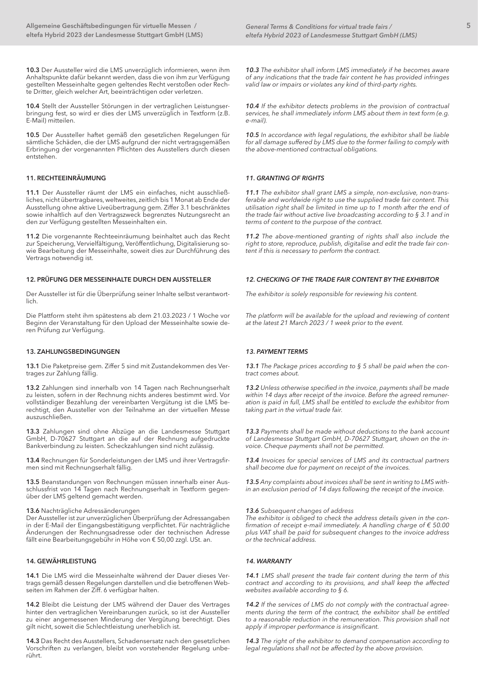10.3 Der Aussteller wird die LMS unverzüglich informieren, wenn ihm Anhaltspunkte dafür bekannt werden, dass die von ihm zur Verfügung gestellten Messeinhalte gegen geltendes Recht verstoßen oder Rechte Dritter, gleich welcher Art, beeinträchtigen oder verletzen.

10.4 Stellt der Aussteller Störungen in der vertraglichen Leistungserbringung fest, so wird er dies der LMS unverzüglich in Textform (z.B. E-Mail) mitteilen.

10.5 Der Aussteller haftet gemäß den gesetzlichen Regelungen für sämtliche Schäden, die der LMS aufgrund der nicht vertragsgemäßen Erbringung der vorgenannten Pflichten des Ausstellers durch diesen entstehen.

## 11. RECHTEEINRÄUMUNG

11.1 Der Aussteller räumt der LMS ein einfaches, nicht ausschließliches, nicht übertragbares, weltweites, zeitlich bis 1 Monat ab Ende der Ausstellung ohne aktive Liveübertragung gem. Ziffer 3.1 beschränktes sowie inhaltlich auf den Vertragszweck begrenztes Nutzungsrecht an den zur Verfügung gestellten Messeinhalten ein.

11.2 Die vorgenannte Rechteeinräumung beinhaltet auch das Recht zur Speicherung, Vervielfältigung, Veröffentlichung, Digitalisierung sowie Bearbeitung der Messeinhalte, soweit dies zur Durchführung des Vertrags notwendig ist.

#### 12. PRÜFUNG DER MESSEINHALTE DURCH DEN AUSSTELLER

Der Aussteller ist für die Überprüfung seiner Inhalte selbst verantwortlich.

Die Plattform steht ihm spätestens ab dem 21.03.2023 / 1 Woche vor Beginn der Veranstaltung für den Upload der Messeinhalte sowie deren Prüfung zur Verfügung.

#### 13. ZAHLUNGSBEDINGUNGEN

13.1 Die Paketpreise gem. Ziffer 5 sind mit Zustandekommen des Vertrages zur Zahlung fällig.

13.2 Zahlungen sind innerhalb von 14 Tagen nach Rechnungserhalt zu leisten, sofern in der Rechnung nichts anderes bestimmt wird. Vor vollständiger Bezahlung der vereinbarten Vergütung ist die LMS berechtigt, den Aussteller von der Teilnahme an der virtuellen Messe auszuschließen.

13.3 Zahlungen sind ohne Abzüge an die Landesmesse Stuttgart GmbH, D-70627 Stuttgart an die auf der Rechnung aufgedruckte Bankverbindung zu leisten. Scheckzahlungen sind nicht zulässig.

13.4 Rechnungen für Sonderleistungen der LMS und ihrer Vertragsfirmen sind mit Rechnungserhalt fällig.

13.5 Beanstandungen von Rechnungen müssen innerhalb einer Ausschlussfrist von 14 Tagen nach Rechnungserhalt in Textform gegenüber der LMS geltend gemacht werden.

#### 13.6 Nachträgliche Adressänderungen

Der Aussteller ist zur unverzüglichen Überprüfung der Adressangaben in der E-Mail der Eingangsbestätigung verpflichtet. Für nachträgliche Änderungen der Rechnungsadresse oder der technischen Adresse fällt eine Bearbeitungsgebühr in Höhe von € 50,00 zzgl. USt. an.

# 14. GEWÄHRLEISTUNG

14.1 Die LMS wird die Messeinhalte während der Dauer dieses Vertrags gemäß dessen Regelungen darstellen und die betroffenen Webseiten im Rahmen der Ziff. 6 verfügbar halten.

14.2 Bleibt die Leistung der LMS während der Dauer des Vertrages hinter den vertraglichen Vereinbarungen zurück, so ist der Aussteller zu einer angemessenen Minderung der Vergütung berechtigt. Dies gilt nicht, soweit die Schlechtleistung unerheblich ist.

14.3 Das Recht des Ausstellers, Schadensersatz nach den gesetzlichen Vorschriften zu verlangen, bleibt von vorstehender Regelung unberührt.

*10.3 The exhibitor shall inform LMS immediately if he becomes aware of any indications that the trade fair content he has provided infringes valid law or impairs or violates any kind of third-party rights.*

*10.4 If the exhibitor detects problems in the provision of contractual services, he shall immediately inform LMS about them in text form (e.g. e-mail).*

*10.5 In accordance with legal regulations, the exhibitor shall be liable for all damage suffered by LMS due to the former failing to comply with the above-mentioned contractual obligations.*

#### *11. GRANTING OF RIGHTS*

*11.1 The exhibitor shall grant LMS a simple, non-exclusive, non-transferable and worldwide right to use the supplied trade fair content. This utilisation right shall be limited in time up to 1 month after the end of the trade fair without active live broadcasting according to § 3.1 and in terms of content to the purpose of the contract.*

*11.2 The above-mentioned granting of rights shall also include the right to store, reproduce, publish, digitalise and edit the trade fair content if this is necessary to perform the contract.*

# *12. CHECKING OF THE TRADE FAIR CONTENT BY THE EXHIBITOR*

*The exhibitor is solely responsible for reviewing his content.* 

*The platform will be available for the upload and reviewing of content at the latest 21 March 2023 / 1 week prior to the event.*

### *13. PAYMENT TERMS*

*13.1 The Package prices according to § 5 shall be paid when the contract comes about.*

*13.2 Unless otherwise specified in the invoice, payments shall be made within 14 days after receipt of the invoice. Before the agreed remuneration is paid in full, LMS shall be entitled to exclude the exhibitor from taking part in the virtual trade fair.* 

*13.3 Payments shall be made without deductions to the bank account of Landesmesse Stuttgart GmbH, D-70627 Stuttgart, shown on the invoice. Cheque payments shall not be permitted.*

*13.4 Invoices for special services of LMS and its contractual partners shall become due for payment on receipt of the invoices.*

*13.5 Any complaints about invoices shall be sent in writing to LMS within an exclusion period of 14 days following the receipt of the invoice.*

#### *13.6 Subsequent changes of address*

*The exhibitor is obliged to check the address details given in the confirmation of receipt e-mail immediately. A handling charge of € 50.00 plus VAT shall be paid for subsequent changes to the invoice address or the technical address.* 

#### *14. WARRANTY*

*14.1 LMS shall present the trade fair content during the term of this contract and according to its provisions, and shall keep the affected websites available according to § 6.*

*14.2 If the services of LMS do not comply with the contractual agreements during the term of the contract, the exhibitor shall be entitled to a reasonable reduction in the remuneration. This provision shall not apply if improper performance is insignificant.*

*14.3 The right of the exhibitor to demand compensation according to legal regulations shall not be affected by the above provision.*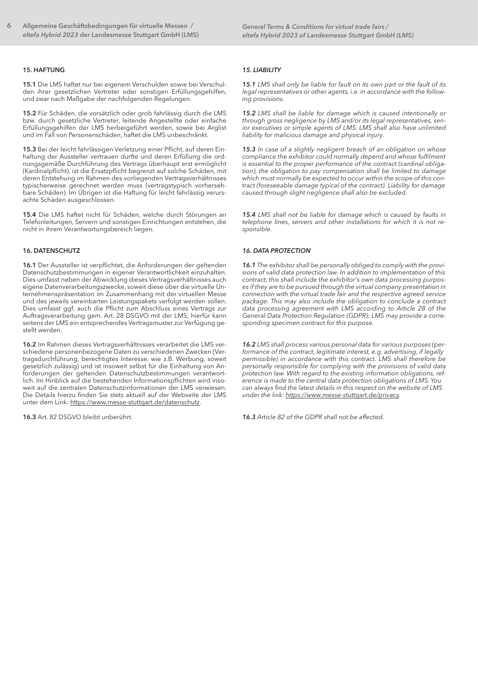#### 15. HAFTUNG

15.1 Die LMS haftet nur bei eigenem Verschulden sowie bei Verschulden ihrer gesetzlichen Vertreter oder sonstigen Erfüllungsgehilfen, und zwar nach Maßgabe der nachfolgenden Regelungen.

15.2 Für Schäden, die vorsätzlich oder grob fahrlässig durch die LMS bzw. durch gesetzliche Vertreter, leitende Angestellte oder einfache Erfüllungsgehilfen der LMS herbeigeführt werden, sowie bei Arglist und im Fall von Personenschäden, haftet die LMS unbeschränkt.

15.3 Bei der leicht fahrlässigen Verletzung einer Pflicht, auf deren Einhaltung der Aussteller vertrauen durfte und deren Erfüllung die ordnungsgemäße Durchführung des Vertrags überhaupt erst ermöglicht (Kardinalpflicht), ist die Ersatzpflicht begrenzt auf solche Schäden, mit deren Entstehung im Rahmen des vorliegenden Vertragsverhältnisses typischerweise gerechnet werden muss (vertragstypisch vorhersehbare Schäden). Im Übrigen ist die Haftung für leicht fahrlässig verursachte Schäden ausgeschlossen.

15.4 Die LMS haftet nicht für Schäden, welche durch Störungen an Telefonleitungen, Servern und sonstigen Einrichtungen entstehen, die nicht in ihrem Verantwortungsbereich liegen.

# 16. DATENSCHUTZ

16.1 Der Aussteller ist verpflichtet, die Anforderungen der geltenden Datenschutzbestimmungen in eigener Verantwortlichkeit einzuhalten. Dies umfasst neben der Abwicklung dieses Vertragsverhältnisses auch eigene Datenverarbeitungszwecke, soweit diese über die virtuelle Unternehmenspräsentation im Zusammenhang mit der virtuellen Messe und des jeweils vereinbarten Leistungspakets verfolgt werden sollen. Dies umfasst ggf. auch die Pflicht zum Abschluss eines Vertrags zur Auftragsverarbeitung gem. Art. 28 DSGVO mit der LMS; hierfür kann seitens der LMS ein entsprechendes Vertragsmuster zur Verfügung gestellt werden.

16.2 Im Rahmen dieses Vertragsverhältnisses verarbeitet die LMS verschiedene personenbezogene Daten zu verschiedenen Zwecken (Vertragsdurchführung, berechtigtes Interesse, wie z.B. Werbung, soweit gesetzlich zulässig) und ist insoweit selbst für die Einhaltung von Anforderungen der geltenden Datenschutzbestimmungen verantwortlich. Im Hinblick auf die bestehenden Informationspflichten wird insoweit auf die zentralen Datenschutzinformationen der LMS verwiesen. Die Details hierzu finden Sie stets aktuell auf der Webseite der LMS unter dem Link: https://www.messe-stuttgart.de/datenschutz.

16.3 Art. 82 DSGVO bleibt unberührt.

#### *15. LIABILITY*

*15.1 LMS shall only be liable for fault on its own part or the fault of its legal representatives or other agents, i.e. in accordance with the following provisions.*

*15.2 LMS shall be liable for damage which is caused intentionally or through gross negligence by LMS and/or its legal representatives, senior executives or simple agents of LMS. LMS shall also have unlimited liability for malicious damage and physical injury.*

*15.3 In case of a slightly negligent breach of an obligation on whose compliance the exhibitor could normally depend and whose fulfilment is essential to the proper performance of the contract (cardinal obligation), the obligation to pay compensation shall be limited to damage which must normally be expected to occur within the scope of this contract (foreseeable damage typical of the contract). Liability for damage caused through slight negligence shall also be excluded.*

*15.4 LMS shall not be liable for damage which is caused by faults in telephone lines, servers and other installations for which it is not responsible.*

#### *16. DATA PROTECTION*

*16.1 The exhibitor shall be personally obliged to comply with the provisions of valid data protection law. In addition to implementation of this contract, this shall include the exhibitor's own data processing purposes if they are to be pursued through the virtual company presentation in connection with the virtual trade fair and the respective agreed service package. This may also include the obligation to conclude a contract data processing agreement with LMS according to Article 28 of the General Data Protection Regulation (GDPR); LMS may provide a corresponding specimen contract for this purpose.*

*16.2 LMS shall process various personal data for various purposes (performance of the contract, legitimate interest, e.g. advertising, if legally permissible) in accordance with this contract. LMS shall therefore be personally responsible for complying with the provisions of valid data protection law. With regard to the existing information obligations, reference is made to the central data protection obligations of LMS. You can always find the latest details in this respect on the website of LMS under the link: https://www.messe-stuttgart.de/privacy.* 

*16.3 Article 82 of the GDPR shall not be affected.*